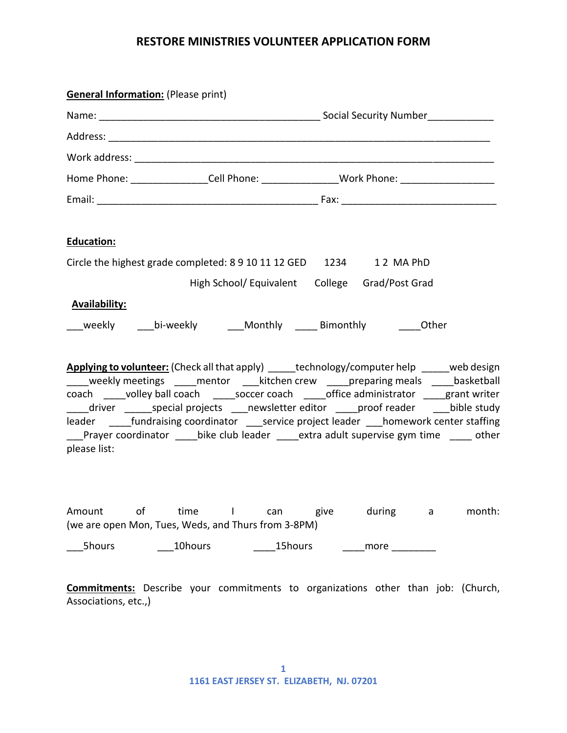## **RESTORE MINISTRIES VOLUNTEER APPLICATION FORM**

|                        | <b>General Information:</b> (Please print)                                                                                                                                                                                                                                                                                                                                               |                                                  |      |  |          |        |
|------------------------|------------------------------------------------------------------------------------------------------------------------------------------------------------------------------------------------------------------------------------------------------------------------------------------------------------------------------------------------------------------------------------------|--------------------------------------------------|------|--|----------|--------|
|                        |                                                                                                                                                                                                                                                                                                                                                                                          |                                                  |      |  |          |        |
|                        |                                                                                                                                                                                                                                                                                                                                                                                          |                                                  |      |  |          |        |
|                        |                                                                                                                                                                                                                                                                                                                                                                                          |                                                  |      |  |          |        |
|                        | Home Phone: _________________Cell Phone: _________________Work Phone: _____________________________                                                                                                                                                                                                                                                                                      |                                                  |      |  |          |        |
|                        |                                                                                                                                                                                                                                                                                                                                                                                          |                                                  |      |  |          |        |
| Education:             |                                                                                                                                                                                                                                                                                                                                                                                          |                                                  |      |  |          |        |
|                        | Circle the highest grade completed: 8 9 10 11 12 GED 1234 1 2 MA PhD                                                                                                                                                                                                                                                                                                                     |                                                  |      |  |          |        |
|                        |                                                                                                                                                                                                                                                                                                                                                                                          | High School/ Equivalent  College  Grad/Post Grad |      |  |          |        |
| <b>Availability:</b>   |                                                                                                                                                                                                                                                                                                                                                                                          |                                                  |      |  |          |        |
|                        | ___weekly ____bi-weekly _____Monthly ______ Bimonthly _______Other                                                                                                                                                                                                                                                                                                                       |                                                  |      |  |          |        |
| please list:           | <b>Applying to volunteer:</b> (Check all that apply) _____technology/computer help _____web design<br>____weekly meetings _____mentor ____kitchen crew _____preparing meals _____basketball<br>coach ____volley ball coach _____soccer coach _____office administrator ____grant writer<br>Prayer coordinator _______bike club leader ______extra adult supervise gym time _______ other |                                                  |      |  |          |        |
| of<br>Amount<br>5hours | time<br><b>Contract Contract</b><br>(we are open Mon, Tues, Weds, and Thurs from 3-8PM)<br>10hours                                                                                                                                                                                                                                                                                       | <b>Example 2</b>                                 | give |  | during a | month: |
|                        | <b>Commitments:</b> Describe your commitments to organizations other than job: (Church,                                                                                                                                                                                                                                                                                                  |                                                  |      |  |          |        |

Associations, etc.,)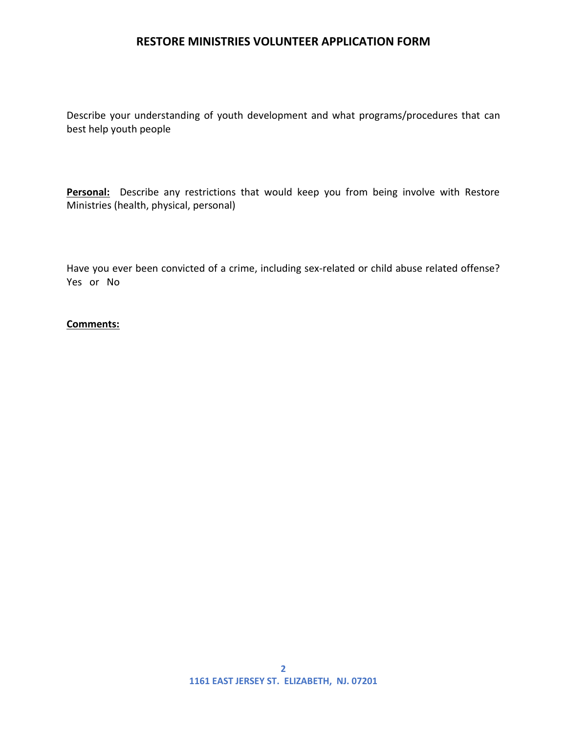## **RESTORE MINISTRIES VOLUNTEER APPLICATION FORM**

Describe your understanding of youth development and what programs/procedures that can best help youth people

Personal: Describe any restrictions that would keep you from being involve with Restore Ministries (health, physical, personal)

Have you ever been convicted of a crime, including sex-related or child abuse related offense? Yes or No

## **Comments:**